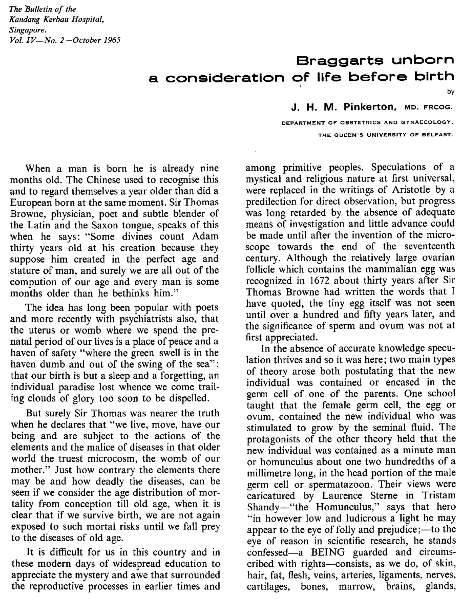*The Bulletin of the Kandang Kerbau Hospital, Singapore. Vol. IV-No. 2-0ctober 1965*

## **Braggarts unborn a consideration of life before birth** I

**J. H. M. Pinkerton,** MD, FRCOG.

DEPARTMENT OF OBSTETRICS AND GYNAECOLOGY, THE QUEEN'S UNIVERSITY OF BELFAST.

When a man is born he is already nine months old. The Chinese used to recognise this and to regard themselves a year older than did a European born at the same moment. Sir Thomas Browne, physician, poet and subtle blender of the Latin and the Saxon tongue, speaks of this when he says: "Some divines count Adam thirty years old at his creation because they suppose him created in the perfect age and stature of man, and surely we are all out of the compution of our age and every man is some months older than he bethinks him."

The idea has long been popular with poets and more recently with psychiatrists also, that the uterus or womb where we spend the prenatal period of our lives is a place of peace and a haven of safety "where the green swell is in the haven dumb and out of the swing of the sea"; that our birth is but a sleep and a forgetting, an individual paradise lost whence we come trailing clouds of glory too soon to be dispelled.

But surely Sir Thomas was nearer the truth when he declares that "we live, move, have our being and are subject to the actions of the elements and the malice of diseases in that older world the truest microcosm, the womb of our mother." Just how contrary the elements there may be and how deadly the diseases, can be seen if we consider the age distribution of mortality from conception till old age, when it is clear that if we survive birth, we are not again exposed to such mortal risks until we fall prey to the diseases of old age.

It is difficult for us in this country and in these modern days of widespread education to appreciate the mystery and awe that surrounded the reproductive processes in earlier times and among primitive peoples. Speculations of a mystical and religious nature at first universal, were replaced in the writings of Aristotle by a predilection for direct observation, but progress was long retarded by the absence of adequate means of investigation and little advance could be made until after the invention of the microscope towards the end of the seventeenth century. Although the relatively large ovarian follicle which contains the mammalian egg was recognized in 1672 about thirty years after Sir Thomas Browne had written the words that I have quoted, the tiny egg itself was not seen until over a hundred and fifty years later, and the significance of sperm and ovum was not at first appreciated.

In the absence of accurate knowledge speculation thrives and so it was here; two main types of theory arose both postulating that the new individual was contained or encased in the germ cell of one of the parents. One school taught that the female germ cell, the egg or ovum, contained the new individual who was stimulated to grow by the seminal fluid. The protagonists of the other theory held that the new individual was contained as a minute man or homunculus about one two hundredths of a millimetre long, in the head portion of the male germ cell or spermatazoon. Their views were caricatured by Laurence Sterne in Tristam Shandy-"the Homunculus," says that hero "in however low and ludicrous a light he may appear to the eye of folly and prejudice;- to the eye of reason in scientific research, he stands confessed-a BEING guarded and circumscribed with rights-consists, as we do, of skin, hair, fat, flesh, veins, arteries, ligaments, nerves, cartilages, bones, marrow, brains, glands,

by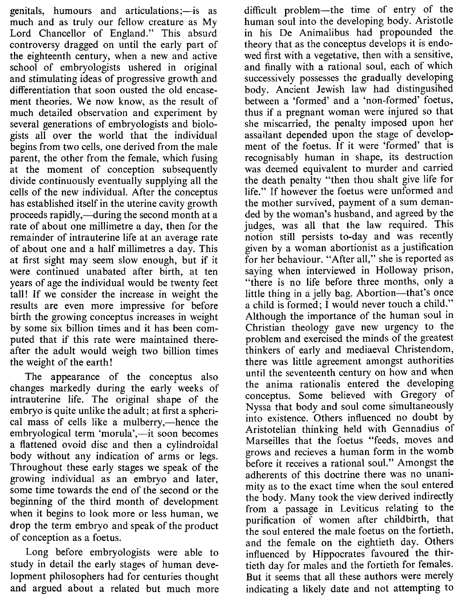genitals, humours and articulations;—is as much and as truly our fellow creature as My Lord Chancellor of England." This absurd controversy dragged on until the early part of the eighteenth century, when a new and active school of embryologists ushered in original and stimulating ideas of progressive growth and differentiation that soon ousted the old encasement theories. We now know, as the result of much detailed observation and experiment by several generations of embryologists and biologists all over the world that the individual begins from two cells, one derived from the male parent, the other from the female, which fusing at the moment of conception subsequently divide continuously eventually supplying all the cells of the new individual. After the conceptus has established itself in the uterine cavity growth proceeds rapidly,—during the second month at a rate of about one millimetre a day, then for the remainder of intrauterine life at an average rate of about one and a half millimetres a day. This at first sight may seem slow enough, but if it were continued unabated after birth, at ten years of age the individual would be twenty feet tall! If we consider the increase in weight the results are even more impressive for before birth the growing conceptus increases in weight by some six billion times and it has been computed that if this rate were maintained thereafter the adult would weigh two billion times the weight of the earth!

The appearance of the conceptus also changes markedly during the early weeks of intrauterine life. The original shape of the embryo is quite unlike the adult; at first a spherical mass of cells like a mulberry,—hence the embryological term 'morula',—it soon becomes a flattened ovoid disc and then a cylindroidal body without any indication of arms or legs. Throughout these early stages we speak of the growing individual as an embryo and later, some time towards the end of the second or the beginning of the third month of development when it begins to look more or less human, we drop the term embryo and speak of the product of conception as a foetus.

Long before embryologists were able to study in detail the early stages of human development philosophers had for centuries thought and argued about a related but much more

difficult problem-the time of entry of the human soul into the developing body. Aristotle in his De Animalibus had propounded the theory that as the conceptus develops it is endowed first with a vegetative, then with a sensitive, and finally with a rational soul, each of which successively possesses the gradually developing body. Ancient Jewish law had distingusihed between a 'formed' and a 'non-formed' foetus, thus if a pregnant woman were injured so that she miscarried, the penalty imposed upon her assailant depended upon the stage of develop· ment of the foetus. If it were 'formed' that is recognisably human in shape, its destruction was deemed equivalent to murder and carried the death penalty "then thou shalt give life for life." If however the foetus were unformed and the mother survived, payment of a sum demanded by the woman's husband, and agreed by the judges, was all that the law required. This notion still persists to-day and was recently given by a woman abortionist as a justification for her behaviour. "After all," she is reported as saying when interviewed in Holloway prison, "there is no life before three months, only a little thing in a jelly bag. Abortion-that's once a child is formed; I would never touch a child." Although the importance of the human soul in Christian theology gave new urgency to the problem and exercised the minds of the greatest thinkers of early and mediaeval Christendom, there was little agreement amongst authorities until the seventeenth century on how and when the anima rationalis entered the developing conceptus. Some believed with Gregory of Nyssa that body and soul come simultaneously into existence. Others influenced no doubt by Aristotelian thinking held with Gennadius of Marseilles that the foetus "feeds, moves and grows and recieves a human form in the womb before it receives a rational soul." Amongst the adherents of this doctrine there was no unanimity as to the exact time when the soul entered the body. Many took the view derived indirectly from a passage in Leviticus relating to the purification of women after childbirth, that the soul entered the male foetus on the fortieth, and the female on the eightieth day. Others influenced by Hippocrates favoured the thirtieth day for males and the fortieth for females. But it seems that all these authors were merely indicating a likely date and not attempting to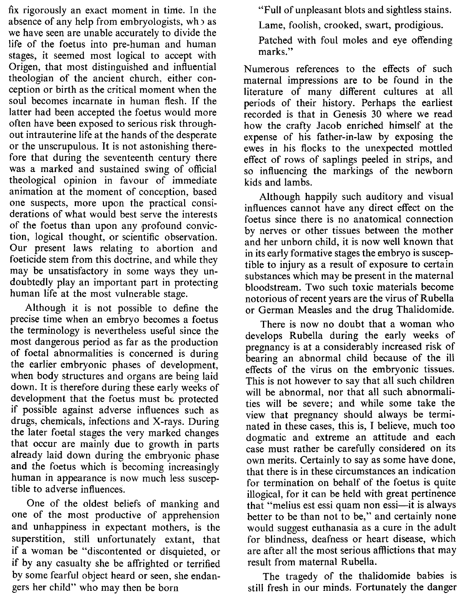fix rigorously an exact moment in time. In the absence of any help from embryologists, wh x as we have seen are unable accurately to divide the life of the foetus into pre-human and human stages, it seemed most logical to accept with Origen, that most distinguished and influential theologian of the ancient church, either conception or birth as the critical moment when the soul becomes incarnate in human flesh. If the latter had been accepted the foetus would more often have been exposed to serious risk throughout intrauterine life at the hands of the desperate or the unscrupulous. It is not astonishing therefore that during the seventeenth century there was a marked and sustained swing of official theological opinion in favour of immediate animation at the moment of conception, based one suspects, more upon the practical considerations of what would best serve the interests of the foetus than upon any profound conviction, logical thought, or scientific observation. Our present laws relating to abortion and foeticide stem from this doctrine, and while they may be unsatisfactory in some ways they undoubtedly play an important part in protecting human life at the most vulnerable stage.

Although it is not possible to define the precise time when an embryo becomes a foetus the terminology is nevertheless useful since the most dangerous period as far as the production of foetal abnormalities is concerned is during the earlier embryonic phases of development, when body structures and organs are being laid down. It is therefore during these early weeks of development that the foetus must be protected if possible against adverse influences such as drugs, chemicals, infections and X-rays. During the later foetal stages the very marked changes that occur are mainly due to growth in parts already laid down during the embryonic phase and the foetus which is becoming increasingly human in appearance is now much less susceptible to adverse influences.

One of the oldest beliefs of manking and one of the most productive of apprehension and unhappiness in expectant mothers, is the superstition, still unfortunately extant, that if a woman be "discontented or disquieted, or if by any casualty she be affrighted or terrified by some fearful object heard or seen, she endangers her child" who may then be born

"Full of unpleasant blots and sightless stains.

Lame, foolish, crooked, swart, prodigious.

Patched with foul moles and eye offending marks."

Numerous references to the effects of such maternal impressions are to be found in the literature of many different cultures at all periods of their history. Perhaps the earliest recorded is that in Genesis 30 where we read how the crafty Jacob enriched himself at the expense of his father-in-law by exposing the ewes in his flocks to the unexpected mottled effect of rows of saplings peeled in strips, and so influencing the markings of the newborn kids and lambs.

Although happily such auditory and visual influences cannot have any direct effect on the foetus since there is no anatomical connection by nerves or other tissues between the mother and her unborn child, it is now well known that in its early formative stages the embryo is susceptible to injury as a result of exposure to certain substances which may be present in the maternal bloodstream. Two such toxic materials become notorious of recent years are the virus of Rubella or German Measles and the drug Thalidomide.

There is now no doubt that a woman who develops Rubella during the early weeks of pregnancy is at a considerably increased risk of bearing an abnormal child because of the ill effects of the virus on the embryonic tissues. This is not however to say that all such children will be abnormal, nor that all such abnormalities will be severe; and while some take the view that pregnancy should always be terminated in these cases, this is, I believe, much too dogmatic and extreme an attitude and each case must rather be carefully considered on its own merits. Certainly to say as some have done, that there is in these circumstances an indication for termination on behalf of the foetus is quite illogical, for it can be held with great pertinence that "melius est essi quam non essi—it is always better to be than not to be," and certainly none would suggest euthanasia as a cure in the adult for blindness, deafness or heart disease, which are after all the most serious afflictions that may result from maternal Rubella.

The tragedy of the thalidomide babies is still fresh in our minds. Fortunately the danger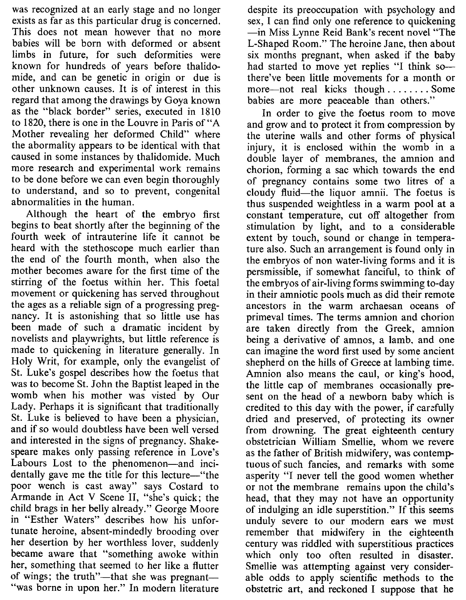was recognized at an early stage and no longer exists as far as this particular drug is concerned. This does not mean however that no more babies will be born with deformed or absent limbs in future, for such deformities were known for hundreds of years before thalidomide, and can be genetic in origin or due is other unknown causes. It is of interest in this regard that among the drawings by Goya known as the "black border" series, executed in 1810 to 1820, there is one in the Louvre in Paris of "A Mother revealing her deformed Child" where the abormality appears to be identical with that caused in some instances by thalidomide. Much more research and experimental work remains to be done before we can even begin thoroughly to understand, and so to prevent, congenital abnormalities in the human.

Although the heart of the embryo first begins to beat shortly after the beginning of the fourth week of intrauterine life it cannot be heard with the stethoscope much earlier than the end of the fourth month, when also the mother becomes aware for the first time of the stirring of the foetus within her. This foetal movement or quickening has served throughout the ages as a reliable sign of a progressing pregnancy. It is astonishing that so little use has been made of such a dramatic incident by novelists and playwrights, but little reference is made to quickening in literature generally. In Holy Writ, for example, only the evangelist of St. Luke's gospel describes how the foetus that was to become St. John the Baptist leaped in the womb when his mother was visted by Our Lady. Perhaps it is significant that traditionally St. Luke is believed to have been a physician, and if so would doubtless have been well versed and interested in the signs of pregnancy. Shakespeare makes only passing reference in Love's Labours Lost to the phenomenon-and incidentally gave me the title for this lecture-"the poor wench is cast away" says Costard to Armande in Act V Scene II, "she's quick; the child brags in her belly already." George Moore in "Esther Waters" describes how his unfortunate heroine, absent-mindedly brooding over her desertion by her worthless lover, suddenly became aware that "something awoke within her, something that seemed to her like a flutter of wings; the truth"—that she was pregnant— "was borne in upon her." In modern literature

despite its preoccupation with psychology and sex, I can find only one reference to quickening -in Miss Lynne Reid Bank's recent novel "The L-Shaped Room." The heroine Jane, then about six months pregnant, when asked if the baby had started to move yet replies "I think sothere've been little movements for a month or more—not real kicks though  $\dots \dots$ . Some babies are more peaceable than others."

In order to give the foetus room to move and grow and to protect it from compression by the uterine walls and other forms of physical injury, it is enclosed within the womb in a double layer of membranes, the amnion and chorion, forming a sac which towards the end of pregnancy contains some two litres of a cloudy fluid-the liquor amnii. The foetus is thus suspended weightless in a warm pool at a constant temperature, cut off altogether from stimulation by light, and to a considerable extent by touch, sound or change in temperature also. Such an arrangement is found only in the embryos of non water-living forms and it is persmissible, if somewhat fanciful, to think of the embryos of air-living forms swimming to-day in their amniotic pools much as did their remote ancestors in the warm archaesan oceans of primeval times. The terms amnion and chorion are taken directly from the Greek, amnion being a derivative of amnos, a lamb, and one can imagine the word first used by some ancient shepherd on the hills of Greece at lambing time. Amnion also means the caul, or king's hood, the little cap of membranes occasionally present on the head of a newborn baby which is credited to this day with the power, if carefully dried and preserved, of protecting its owner from drowning. The great eighteenth century obstetrician William Smellie, whom we revere as the father of British midwifery, was contemptuous of such fancies, and remarks with some asperity "I never tell the good women whether or not the membrane remains upon the child's head, that they may not have an opportunity of indulging an idle superstition." If this seems unduly severe to our modern ears we must remember that midwifery in the eighteenth century was riddled with superstitious practices which only too often resulted in disaster. Smellie was attempting against very considerable odds to apply scientific methods to the obstetric art, and reckoned I suppose that he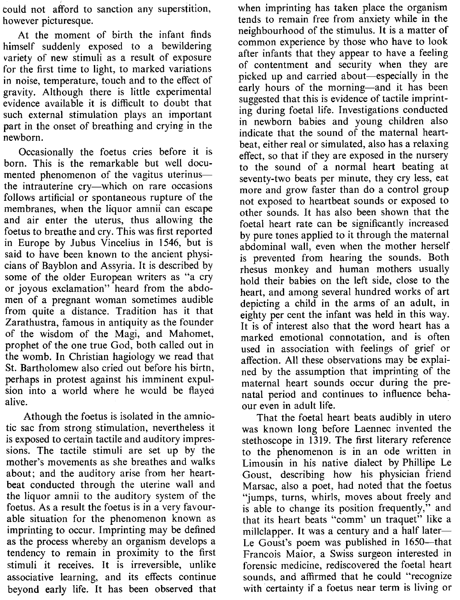couid not afford to sanction any superstition, however picturesque.

At the moment of birth the infant finds himself suddenly exposed to a bewildering variety of new stimuli as a result of exposure for the first time to light, to marked variations in noise, temperature, touch and to the effect of gravity. Although there is little experimental evidence available it is difficult to doubt that such external stimulation plays an important part in the onset of breathing and crying in the newborn.

Occasionally the foetus cries before it is born. This is the remarkable but well documented phenomenon of the vagitus uterinusthe intrauterine cry-which on rare occasions follows artificial or spontaneous rupture of the membranes, when the liquor amnii can escape and air enter the uterus, thus allowing the foetus to breathe and cry. This was first reported in Europe by Jubus Vincelius in 1546, but is said to have been known to the ancient physicians of Bayblon and Assyria. It is described by some of the older European writers as "a cry or joyous exclamation" heard from the abdomen of a pregnant woman sometimes audible from quite a distance. Tradition has it that Zarathustra, famous in antiquity as the founder of the wisdom of the Magi, and Mahomet, prophet of the one true God, both called out in the womb. In Christian hagiology we read that St. Bartholomew also cried out before his birth, perhaps in protest against his imminent expulsion into a world where he would be flayed alive.

Athough the foetus is isolated in the amniotic sac from strong stimulation, nevertheless it is exposed to certain tactile and auditory impressions. The tactile stimuli are set up by the mother's movements as she breathes and walks about; and the auditory arise from her heartbeat conducted through the uterine wall and the liquor amnii to the auditory system of the foetus. As a result the foetus is in a very favourable situation for the phenomenon known as imprinting to occur. Imprinting may be defined as the process whereby an organism develops a tendency to remain in proximity to the first stimuli it receives. It is irreversible, unlike associative learning, and its effects continue beyond early life. It has been observed that when imprinting has taken place the organism tends to remain free from anxiety while in the neighbourhood of the stimulus. It is a matter of common experience by those who have to look after infants that they appear to have a feeling of contentment and security when they are picked up and carried about-especially in the early hours of the morning—and it has been suggested that this is evidence of tactile imprinting during foetal life. Investigations conducted in newborn babies and young children also indicate that the sound of the maternal heartbeat, either real or simulated, also has a relaxing effect, so that if they are exposed in the nursery to the sound of a normal heart beating at seventy-two beats per minute, they cry less, eat more and grow faster than do a control group not exposed to heartbeat sounds or exposed to other sounds. It has also been shown that the foetal heart rate can be significantly increased by pure tones applied to it through the maternal abdominal wall, even when the mother herself is prevented from hearing the sounds. Both rhesus monkey and human mothers usually hold their babies on the left side, close to the heart, and among several hundred works of art depicting a child in the arms of an adult, in eighty per cent the infant was held in this way. It is of interest also that the word heart has a marked emotional connotation, and is often used in association with feelings of grief or affection. All these observations may be explained by the assumption that imprinting of the maternal heart sounds occur during the prenatal period and continues to influence behaour even in adult life.

That the foetal heart beats audibly in utero was known long before Laennec invented the stethoscope in 1319. The first literary reference to the phenomenon is in an ode written in Limousin in his native dialect by Phillipe Le Goust, describing how his physician friend Marsac, also a poet, had noted that the foetus "jumps, turns, whirls, moves about freely and is able to change its position frequently," and that its heart beats "comm' un traquet" like a millclapper. It was a century and a half later-Le Goust's poem was published in 1650-that Francois Maior, a Swiss surgeon interested in forensic medicine, rediscovered the foetal heart sounds, and affirmed that he could "recognize with certainty if a foetus near term is living or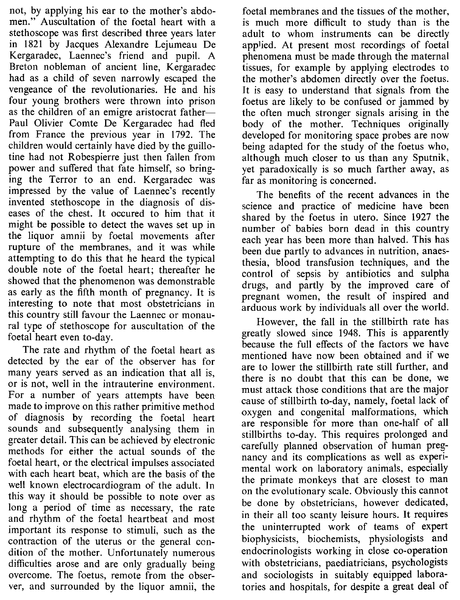not, by applying his ear to the mother's abdomen." Auscultation of the foetal heart with a stethoscope was first described three years later in 1821 by Jacques Alexandre Lejumeau De Kergaradec, Laennec's friend and pupil. A Breton nobleman of ancient line, Kergaradec had as a child of seven narrowly escaped the vengeance of the revolutionaries. He and his four young brothers were thrown into prison as the children of an emigre aristocrat father-Paul Olivier Comte De Kergaradec had fled from France the previous year in 1792. The children would certainly have died by the guillotine had not Robespierre just then fallen from power and suffered that fate himself, so bringing the Terror to an end. Kergaradec was impressed by the value of Laennec's recently invented stethoscope in the diagnosis of diseases of the chest. It occured to him that it might be possible to detect the waves set up in the liquor amnii by foetal movements after rupture of the membranes, and it was while attempting to do this that he heard the typical double note of the foetal heart; thereafter he showed that the phenomenon was demonstrable as early as the fifth month of pregnancy. It is interesting to note that most obstetricians in this country still favour the Laennec or monaural type of stethoscope for auscultation of the foetal heart even to-day.

The rate and rhythm of the foetal heart as detected by the ear of the observer has for many years served as an indication that all is, or is not, well in the intrauterine environment. For a number of years attempts have been made to improve on this rather primitive method of diagnosis by recording the foetal heart sounds and subsequently analysing them in greater detail. This can be achieved by electronic methods for either the actual sounds of the foetal heart, or the electrical impulses associated with each heart beat, which are the basis of the well known electrocardiogram of the adult. **In** this way it should be possible to note over as long a period of time as necessary, the rate and rhythm of the foetal heartbeat and most important its response to stimuli, such as the contraction of the uterus or the general condition of the mother. Unfortunately numerous difficulties arose and are only gradually being overcome. The foetus, remote from the observer, and surrounded by the liquor amnii, the

foetal membranes and the tissues of the mother, is much more difficult to study than is the adult to whom instruments can be directly applied. At present most recordings of foetal phenomena must be made through the maternal tissues, for example by applying electrodes to the mother's abdomen directly over the foetus. It is easy to understand that signals from the foetus are likely to be confused or jammed by the often much stronger signals arising in the body of the mother. Techniques originally developed for monitoring space probes are now being adapted for the study of the foetus who, although much closer to us than any Sputnik, yet paradoxically is so much farther away, as far as monitoring is concerned.

The benefits of the recent advances in the science and practice of medicine have been shared by the foetus in utero. Since 1927 the number of babies born dead in this country each year has been more than halved. This has been due partly to advances in nutrition, anaesthesia, blood transfusion techniques, and the control of sepsis by antibiotics and sulpha drugs, and partly by the improved care of pregnant women, the result of inspired and arduous work by individuals all over the world.

However, the fall in the stillbirth rate has greatly slowed since 1948. This is apparently because the full effects of the factors we have mentioned have now been obtained and if we are to lower the stillbirth rate still further, and there is no doubt that this can be done, we must attack those conditions that are the major cause of stillbirth to-day, namely, foetal lack of oxygen and congenital malformations, which are responsible for more than one-half of all stillbirths to-day. This requires prolonged and carefully planned observation of human pregnancy and its complications as well as experimental work on laboratory animals, especially the primate monkeys that are closest to man on the evolutionary scale. Obviously this cannot be done by obstetricians, however dedicated, in their all too scanty leisure hours. It requires the uninterrupted work of teams of expert biophysicists, biochemists, physiologists and endocrinologists working in close co-operation with obstetricians, paediatricians, psychologists and sociologists in suitably equipped laboratories and hospitals, for despite a great deal of